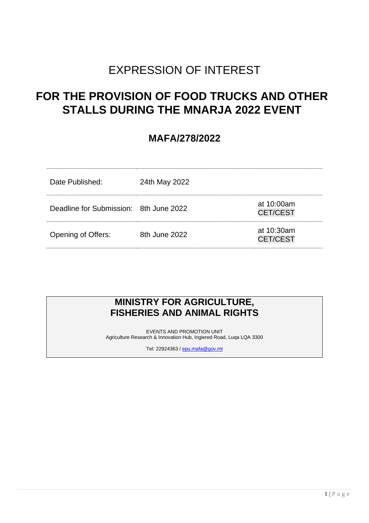# EXPRESSION OF INTEREST

## **FOR THE PROVISION OF FOOD TRUCKS AND OTHER STALLS DURING THE MNARJA 2022 EVENT**

## **MAFA/278/2022**

| Date Published:                        | 24th May 2022 |                               |
|----------------------------------------|---------------|-------------------------------|
| Deadline for Submission: 8th June 2022 |               | at 10:00am<br><b>CET/CEST</b> |
| <b>Opening of Offers:</b>              | 8th June 2022 | at 10:30am<br><b>CET/CEST</b> |

## **MINISTRY FOR AGRICULTURE, FISHERIES AND ANIMAL RIGHTS**

EVENTS AND PROMOTION UNIT Agriculture Research & Innovation Hub, Ingiered Road, Luqa LQA 3300

Tel: 22924363 [/ epu.mafa@gov.mt](mailto:epu.mafa@gov.mt)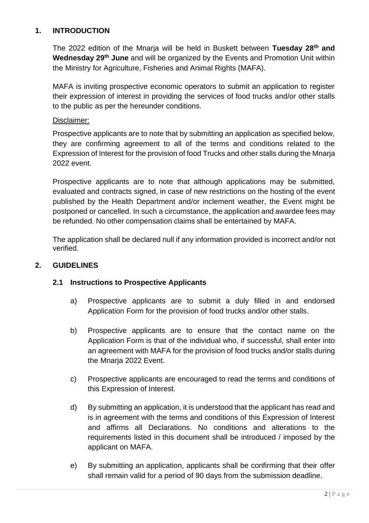#### **1. INTRODUCTION**

The 2022 edition of the Mnarja will be held in Buskett between **Tuesday 28th and Wednesday 29th June** and will be organized by the Events and Promotion Unit within the Ministry for Agriculture, Fisheries and Animal Rights (MAFA).

MAFA is inviting prospective economic operators to submit an application to register their expression of interest in providing the services of food trucks and/or other stalls to the public as per the hereunder conditions.

#### Disclaimer:

Prospective applicants are to note that by submitting an application as specified below, they are confirming agreement to all of the terms and conditions related to the Expression of Interest for the provision of food Trucks and other stalls during the Mnarja 2022 event.

Prospective applicants are to note that although applications may be submitted, evaluated and contracts signed, in case of new restrictions on the hosting of the event published by the Health Department and/or inclement weather, the Event might be postponed or cancelled. In such a circumstance, the application and awardee fees may be refunded. No other compensation claims shall be entertained by MAFA.

The application shall be declared null if any information provided is incorrect and/or not verified.

#### **2. GUIDELINES**

#### **2.1 Instructions to Prospective Applicants**

- a) Prospective applicants are to submit a duly filled in and endorsed Application Form for the provision of food trucks and/or other stalls.
- b) Prospective applicants are to ensure that the contact name on the Application Form is that of the individual who, if successful, shall enter into an agreement with MAFA for the provision of food trucks and/or stalls during the Mnarja 2022 Event.
- c) Prospective applicants are encouraged to read the terms and conditions of this Expression of Interest.
- d) By submitting an application, it is understood that the applicant has read and is in agreement with the terms and conditions of this Expression of Interest and affirms all Declarations. No conditions and alterations to the requirements listed in this document shall be introduced / imposed by the applicant on MAFA.
- e) By submitting an application, applicants shall be confirming that their offer shall remain valid for a period of 90 days from the submission deadline.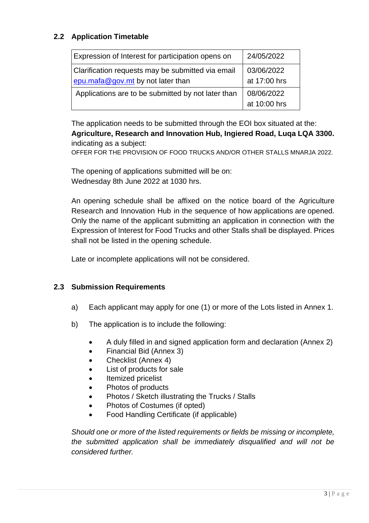### **2.2 Application Timetable**

| Expression of Interest for participation opens on  | 24/05/2022   |
|----------------------------------------------------|--------------|
| Clarification requests may be submitted via email  | 03/06/2022   |
| $e$ pu.mafa@gov.mt by not later than               | at 17:00 hrs |
| Applications are to be submitted by not later than | 08/06/2022   |
|                                                    | at 10:00 hrs |

The application needs to be submitted through the EOI box situated at the: **Agriculture, Research and Innovation Hub, Ingiered Road, Luqa LQA 3300.** indicating as a subject:

OFFER FOR THE PROVISION OF FOOD TRUCKS AND/OR OTHER STALLS MNARJA 2022.

The opening of applications submitted will be on: Wednesday 8th June 2022 at 1030 hrs.

An opening schedule shall be affixed on the notice board of the Agriculture Research and Innovation Hub in the sequence of how applications are opened. Only the name of the applicant submitting an application in connection with the Expression of Interest for Food Trucks and other Stalls shall be displayed. Prices shall not be listed in the opening schedule.

Late or incomplete applications will not be considered.

#### **2.3 Submission Requirements**

- a) Each applicant may apply for one (1) or more of the Lots listed in Annex 1.
- b) The application is to include the following:
	- A duly filled in and signed application form and declaration (Annex 2)
	- Financial Bid (Annex 3)
	- Checklist (Annex 4)
	- List of products for sale
	- Itemized pricelist
	- Photos of products
	- Photos / Sketch illustrating the Trucks / Stalls
	- Photos of Costumes (if opted)
	- Food Handling Certificate (if applicable)

*Should one or more of the listed requirements or fields be missing or incomplete, the submitted application shall be immediately disqualified and will not be considered further.*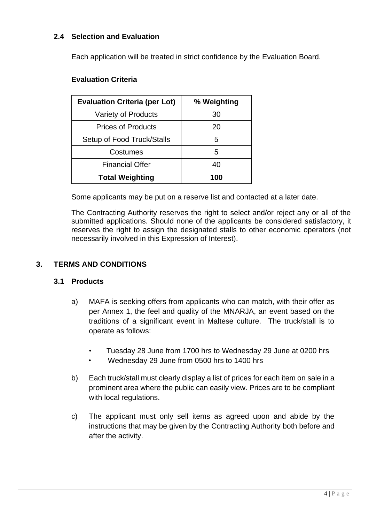#### **2.4 Selection and Evaluation**

Each application will be treated in strict confidence by the Evaluation Board.

#### **Evaluation Criteria**

| <b>Evaluation Criteria (per Lot)</b> | % Weighting |
|--------------------------------------|-------------|
| Variety of Products                  | 30          |
| <b>Prices of Products</b>            | 20          |
| Setup of Food Truck/Stalls           | h.          |
| Costumes                             | 5           |
| <b>Financial Offer</b>               | 40          |
| <b>Total Weighting</b>               | 100         |

Some applicants may be put on a reserve list and contacted at a later date.

The Contracting Authority reserves the right to select and/or reject any or all of the submitted applications. Should none of the applicants be considered satisfactory, it reserves the right to assign the designated stalls to other economic operators (not necessarily involved in this Expression of Interest).

#### **3. TERMS AND CONDITIONS**

#### **3.1 Products**

- a) MAFA is seeking offers from applicants who can match, with their offer as per Annex 1, the feel and quality of the MNARJA, an event based on the traditions of a significant event in Maltese culture. The truck/stall is to operate as follows:
	- Tuesday 28 June from 1700 hrs to Wednesday 29 June at 0200 hrs
	- Wednesday 29 June from 0500 hrs to 1400 hrs
- b) Each truck/stall must clearly display a list of prices for each item on sale in a prominent area where the public can easily view. Prices are to be compliant with local regulations.
- c) The applicant must only sell items as agreed upon and abide by the instructions that may be given by the Contracting Authority both before and after the activity.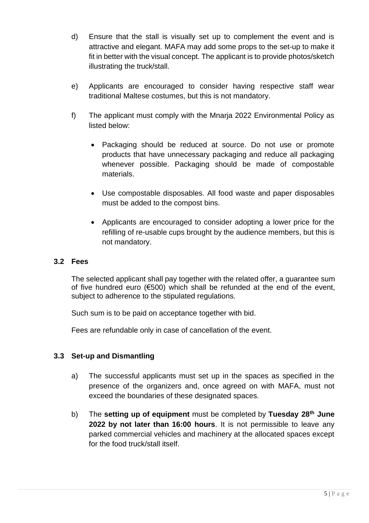- d) Ensure that the stall is visually set up to complement the event and is attractive and elegant. MAFA may add some props to the set-up to make it fit in better with the visual concept. The applicant is to provide photos/sketch illustrating the truck/stall.
- e) Applicants are encouraged to consider having respective staff wear traditional Maltese costumes, but this is not mandatory.
- f) The applicant must comply with the Mnarja 2022 Environmental Policy as listed below:
	- Packaging should be reduced at source. Do not use or promote products that have unnecessary packaging and reduce all packaging whenever possible. Packaging should be made of compostable materials.
	- Use compostable disposables. All food waste and paper disposables must be added to the compost bins.
	- Applicants are encouraged to consider adopting a lower price for the refilling of re-usable cups brought by the audience members, but this is not mandatory.

#### **3.2 Fees**

The selected applicant shall pay together with the related offer, a guarantee sum of five hundred euro (€500) which shall be refunded at the end of the event, subject to adherence to the stipulated regulations.

Such sum is to be paid on acceptance together with bid.

Fees are refundable only in case of cancellation of the event.

#### **3.3 Set-up and Dismantling**

- a) The successful applicants must set up in the spaces as specified in the presence of the organizers and, once agreed on with MAFA, must not exceed the boundaries of these designated spaces.
- b) The **setting up of equipment** must be completed by **Tuesday 28th June 2022 by not later than 16:00 hours**. It is not permissible to leave any parked commercial vehicles and machinery at the allocated spaces except for the food truck/stall itself.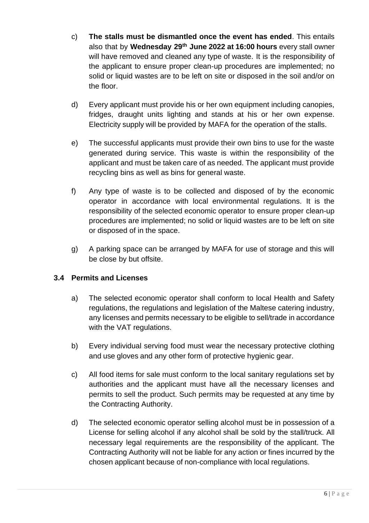- c) **The stalls must be dismantled once the event has ended**. This entails also that by **Wednesday 29th June 2022 at 16:00 hours** every stall owner will have removed and cleaned any type of waste. It is the responsibility of the applicant to ensure proper clean-up procedures are implemented; no solid or liquid wastes are to be left on site or disposed in the soil and/or on the floor.
- d) Every applicant must provide his or her own equipment including canopies, fridges, draught units lighting and stands at his or her own expense. Electricity supply will be provided by MAFA for the operation of the stalls.
- e) The successful applicants must provide their own bins to use for the waste generated during service. This waste is within the responsibility of the applicant and must be taken care of as needed. The applicant must provide recycling bins as well as bins for general waste.
- f) Any type of waste is to be collected and disposed of by the economic operator in accordance with local environmental regulations. It is the responsibility of the selected economic operator to ensure proper clean-up procedures are implemented; no solid or liquid wastes are to be left on site or disposed of in the space.
- g) A parking space can be arranged by MAFA for use of storage and this will be close by but offsite.

#### **3.4 Permits and Licenses**

- a) The selected economic operator shall conform to local Health and Safety regulations, the regulations and legislation of the Maltese catering industry, any licenses and permits necessary to be eligible to sell/trade in accordance with the VAT regulations.
- b) Every individual serving food must wear the necessary protective clothing and use gloves and any other form of protective hygienic gear.
- c) All food items for sale must conform to the local sanitary regulations set by authorities and the applicant must have all the necessary licenses and permits to sell the product. Such permits may be requested at any time by the Contracting Authority.
- d) The selected economic operator selling alcohol must be in possession of a License for selling alcohol if any alcohol shall be sold by the stall/truck. All necessary legal requirements are the responsibility of the applicant. The Contracting Authority will not be liable for any action or fines incurred by the chosen applicant because of non-compliance with local regulations.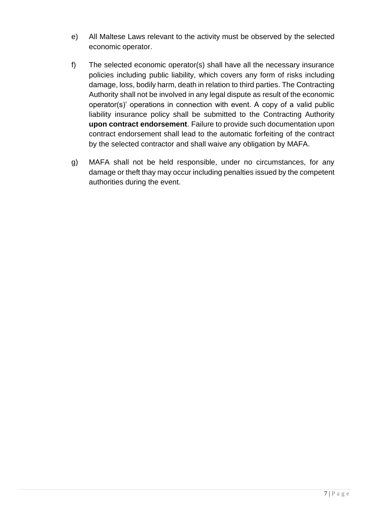- e) All Maltese Laws relevant to the activity must be observed by the selected economic operator.
- f) The selected economic operator(s) shall have all the necessary insurance policies including public liability, which covers any form of risks including damage, loss, bodily harm, death in relation to third parties. The Contracting Authority shall not be involved in any legal dispute as result of the economic operator(s)' operations in connection with event. A copy of a valid public liability insurance policy shall be submitted to the Contracting Authority **upon contract endorsement**. Failure to provide such documentation upon contract endorsement shall lead to the automatic forfeiting of the contract by the selected contractor and shall waive any obligation by MAFA.
- g) MAFA shall not be held responsible, under no circumstances, for any damage or theft thay may occur including penalties issued by the competent authorities during the event.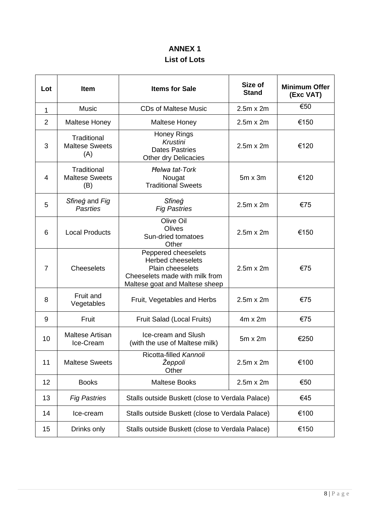## **ANNEX 1 List of Lots**

| Lot | Item                                        | <b>Items for Sale</b>                                                                                                                   | Size of<br><b>Stand</b> | <b>Minimum Offer</b><br>(Exc VAT) |
|-----|---------------------------------------------|-----------------------------------------------------------------------------------------------------------------------------------------|-------------------------|-----------------------------------|
| 1   | <b>Music</b>                                | <b>CDs of Maltese Music</b>                                                                                                             | $2.5m \times 2m$        | €50                               |
| 2   | <b>Maltese Honey</b>                        | <b>Maltese Honey</b>                                                                                                                    | $2.5m \times 2m$        | €150                              |
| 3   | Traditional<br><b>Maltese Sweets</b><br>(A) | <b>Honey Rings</b><br>Krustini<br><b>Dates Pastries</b><br>Other dry Delicacies                                                         | $2.5m \times 2m$        | €120                              |
| 4   | Traditional<br><b>Maltese Sweets</b><br>(B) | <b>Helwa tat-Tork</b><br>Nougat<br><b>Traditional Sweets</b>                                                                            | $5m \times 3m$          | €120                              |
| 5   | Sfineg and Fig<br><b>Pasrties</b>           | Sfineg<br><b>Fig Pastries</b>                                                                                                           | $2.5m \times 2m$        | €75                               |
| 6   | <b>Local Products</b>                       | Olive Oil<br>Olives<br>Sun-dried tomatoes<br>Other                                                                                      | $2.5m \times 2m$        | €150                              |
| 7   | <b>Cheeselets</b>                           | Peppered cheeselets<br><b>Herbed cheeselets</b><br>Plain cheeselets<br>Cheeselets made with milk from<br>Maltese goat and Maltese sheep | $2.5m \times 2m$        | €75                               |
| 8   | Fruit and<br>Vegetables                     | Fruit, Vegetables and Herbs                                                                                                             | $2.5m \times 2m$        | €75                               |
| 9   | Fruit                                       | Fruit Salad (Local Fruits)                                                                                                              | $4m \times 2m$          | €75                               |
| 10  | <b>Maltese Artisan</b><br>Ice-Cream         | Ice-cream and Slush<br>(with the use of Maltese milk)                                                                                   | $5m \times 2m$          | €250                              |
| 11  | <b>Maltese Sweets</b>                       | Ricotta-filled Kannoli<br>Žeppoli<br>Other                                                                                              | $2.5m \times 2m$        | €100                              |
| 12  | <b>Books</b>                                | <b>Maltese Books</b>                                                                                                                    | $2.5m \times 2m$        | €50                               |
| 13  | <b>Fig Pastries</b>                         | Stalls outside Buskett (close to Verdala Palace)                                                                                        |                         | €45                               |
| 14  | Ice-cream                                   | Stalls outside Buskett (close to Verdala Palace)                                                                                        |                         | €100                              |
| 15  | Drinks only                                 | Stalls outside Buskett (close to Verdala Palace)                                                                                        |                         | €150                              |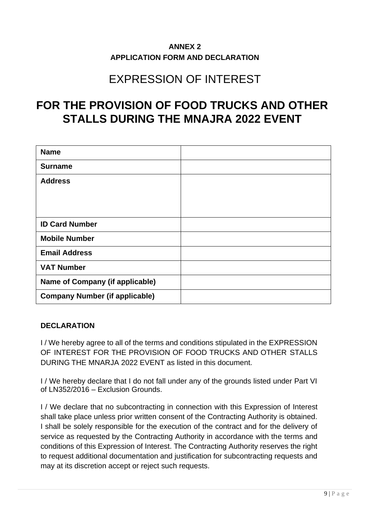### **ANNEX 2 APPLICATION FORM AND DECLARATION**

# EXPRESSION OF INTEREST

# **FOR THE PROVISION OF FOOD TRUCKS AND OTHER STALLS DURING THE MNAJRA 2022 EVENT**

| <b>Name</b>                            |  |
|----------------------------------------|--|
| <b>Surname</b>                         |  |
| <b>Address</b>                         |  |
|                                        |  |
|                                        |  |
| <b>ID Card Number</b>                  |  |
| <b>Mobile Number</b>                   |  |
| <b>Email Address</b>                   |  |
| <b>VAT Number</b>                      |  |
| <b>Name of Company (if applicable)</b> |  |
| <b>Company Number (if applicable)</b>  |  |

#### **DECLARATION**

I / We hereby agree to all of the terms and conditions stipulated in the EXPRESSION OF INTEREST FOR THE PROVISION OF FOOD TRUCKS AND OTHER STALLS DURING THE MNARJA 2022 EVENT as listed in this document.

I / We hereby declare that I do not fall under any of the grounds listed under Part VI of LN352/2016 – Exclusion Grounds.

I / We declare that no subcontracting in connection with this Expression of Interest shall take place unless prior written consent of the Contracting Authority is obtained. I shall be solely responsible for the execution of the contract and for the delivery of service as requested by the Contracting Authority in accordance with the terms and conditions of this Expression of Interest. The Contracting Authority reserves the right to request additional documentation and justification for subcontracting requests and may at its discretion accept or reject such requests.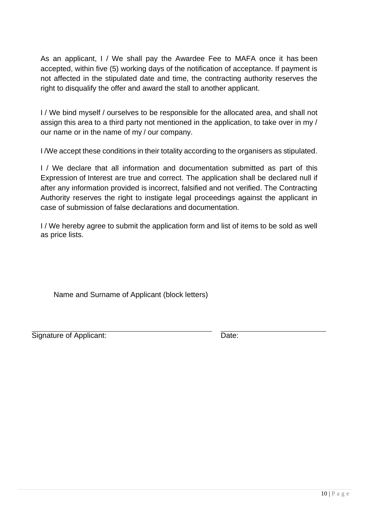As an applicant, I / We shall pay the Awardee Fee to MAFA once it has been accepted, within five (5) working days of the notification of acceptance. If payment is not affected in the stipulated date and time, the contracting authority reserves the right to disqualify the offer and award the stall to another applicant.

I / We bind myself / ourselves to be responsible for the allocated area, and shall not assign this area to a third party not mentioned in the application, to take over in my / our name or in the name of my / our company.

I /We accept these conditions in their totality according to the organisers as stipulated.

I / We declare that all information and documentation submitted as part of this Expression of Interest are true and correct. The application shall be declared null if after any information provided is incorrect, falsified and not verified. The Contracting Authority reserves the right to instigate legal proceedings against the applicant in case of submission of false declarations and documentation.

I / We hereby agree to submit the application form and list of items to be sold as well as price lists.

Name and Surname of Applicant (block letters)

Signature of Applicant: Date: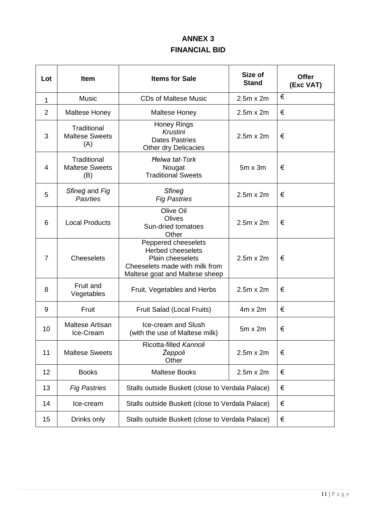## **ANNEX 3 FINANCIAL BID**

| Lot            | <b>Item</b>                                 | <b>Items for Sale</b>                                                                                                                   | Size of<br><b>Stand</b> | <b>Offer</b><br>(Exc VAT) |
|----------------|---------------------------------------------|-----------------------------------------------------------------------------------------------------------------------------------------|-------------------------|---------------------------|
| $\mathbf{1}$   | <b>Music</b>                                | <b>CDs of Maltese Music</b>                                                                                                             | $2.5m \times 2m$        | €                         |
| $\overline{2}$ | <b>Maltese Honey</b>                        | <b>Maltese Honey</b>                                                                                                                    | $2.5m \times 2m$        | €                         |
| 3              | Traditional<br><b>Maltese Sweets</b><br>(A) | <b>Honey Rings</b><br>Krustini<br><b>Dates Pastries</b><br>Other dry Delicacies                                                         | $2.5m \times 2m$        | €                         |
| 4              | Traditional<br><b>Maltese Sweets</b><br>(B) | <b>Helwa tat-Tork</b><br>Nougat<br><b>Traditional Sweets</b>                                                                            | $5m \times 3m$          | €                         |
| 5              | Sfineg and Fig<br><b>Pasrties</b>           | Sfineg<br><b>Fig Pastries</b>                                                                                                           | $2.5m \times 2m$        | €                         |
| 6              | <b>Local Products</b>                       | Olive Oil<br>Olives<br>Sun-dried tomatoes<br>Other                                                                                      | $2.5m \times 2m$        | €                         |
| 7              | <b>Cheeselets</b>                           | Peppered cheeselets<br><b>Herbed cheeselets</b><br>Plain cheeselets<br>Cheeselets made with milk from<br>Maltese goat and Maltese sheep | $2.5m \times 2m$        | €                         |
| 8              | Fruit and<br>Vegetables                     | Fruit, Vegetables and Herbs                                                                                                             | $2.5m \times 2m$        | €                         |
| 9              | Fruit                                       | Fruit Salad (Local Fruits)                                                                                                              | $4m \times 2m$          | €                         |
| 10             | Maltese Artisan<br>Ice-Cream                | Ice-cream and Slush<br>(with the use of Maltese milk)                                                                                   | $5m \times 2m$          | €                         |
| 11             | <b>Maltese Sweets</b>                       | Ricotta-filled Kannoli<br>Žeppoli<br>Other                                                                                              | $2.5m \times 2m$        | €                         |
| 12             | <b>Books</b>                                | <b>Maltese Books</b>                                                                                                                    | $2.5m \times 2m$        | €                         |
| 13             | <b>Fig Pastries</b>                         | Stalls outside Buskett (close to Verdala Palace)                                                                                        |                         | €                         |
| 14             | Ice-cream                                   | Stalls outside Buskett (close to Verdala Palace)                                                                                        |                         | €                         |
| 15             | Drinks only                                 | Stalls outside Buskett (close to Verdala Palace)                                                                                        |                         | €                         |